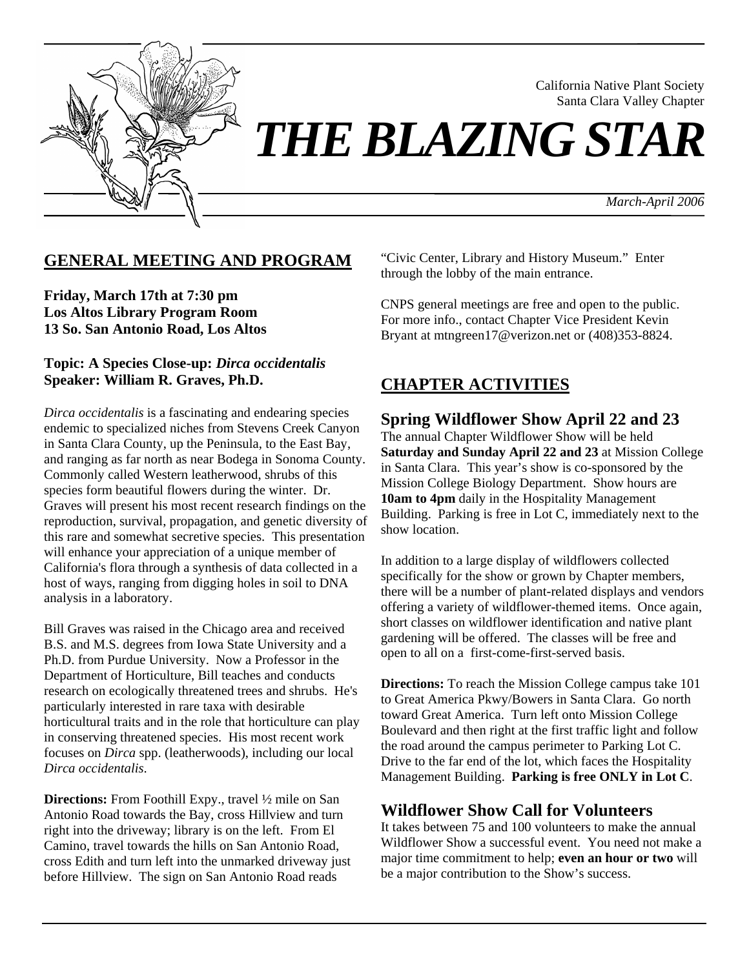

California Native Plant Society Santa Clara Valley Chapter

*THE BLAZING STAR* 

*March-April 2006*

## **GENERAL MEETING AND PROGRAM**

**Friday, March 17th at 7:30 pm Los Altos Library Program Room 13 So. San Antonio Road, Los Altos** 

## **Topic: A Species Close-up:** *Dirca occidentalis* **Speaker: William R. Graves, Ph.D.**

*Dirca occidentalis* is a fascinating and endearing species endemic to specialized niches from Stevens Creek Canyon in Santa Clara County, up the Peninsula, to the East Bay, and ranging as far north as near Bodega in Sonoma County. Commonly called Western leatherwood, shrubs of this species form beautiful flowers during the winter. Dr. Graves will present his most recent research findings on the reproduction, survival, propagation, and genetic diversity of this rare and somewhat secretive species. This presentation will enhance your appreciation of a unique member of California's flora through a synthesis of data collected in a host of ways, ranging from digging holes in soil to DNA analysis in a laboratory.

Bill Graves was raised in the Chicago area and received B.S. and M.S. degrees from Iowa State University and a Ph.D. from Purdue University. Now a Professor in the Department of Horticulture, Bill teaches and conducts research on ecologically threatened trees and shrubs. He's particularly interested in rare taxa with desirable horticultural traits and in the role that horticulture can play in conserving threatened species. His most recent work focuses on *Dirca* spp. (leatherwoods), including our local *Dirca occidentalis*.

**Directions:** From Foothill Expy., travel ½ mile on San Antonio Road towards the Bay, cross Hillview and turn right into the driveway; library is on the left. From El Camino, travel towards the hills on San Antonio Road, cross Edith and turn left into the unmarked driveway just before Hillview. The sign on San Antonio Road reads

"Civic Center, Library and History Museum." Enter through the lobby of the main entrance.

CNPS general meetings are free and open to the public. For more info., contact Chapter Vice President Kevin Bryant at mtngreen17@verizon.net or (408)353-8824.

# **CHAPTER ACTIVITIES**

# **Spring Wildflower Show April 22 and 23**

The annual Chapter Wildflower Show will be held **Saturday and Sunday April 22 and 23** at Mission College in Santa Clara. This year's show is co-sponsored by the Mission College Biology Department. Show hours are **10am to 4pm** daily in the Hospitality Management Building. Parking is free in Lot C, immediately next to the show location.

In addition to a large display of wildflowers collected specifically for the show or grown by Chapter members, there will be a number of plant-related displays and vendors offering a variety of wildflower-themed items. Once again, short classes on wildflower identification and native plant gardening will be offered. The classes will be free and open to all on a first-come-first-served basis.

**Directions:** To reach the Mission College campus take 101 to Great America Pkwy/Bowers in Santa Clara. Go north toward Great America. Turn left onto Mission College Boulevard and then right at the first traffic light and follow the road around the campus perimeter to Parking Lot C. Drive to the far end of the lot, which faces the Hospitality Management Building. **Parking is free ONLY in Lot C**.

## **Wildflower Show Call for Volunteers**

It takes between 75 and 100 volunteers to make the annual Wildflower Show a successful event. You need not make a major time commitment to help; **even an hour or two** will be a major contribution to the Show's success.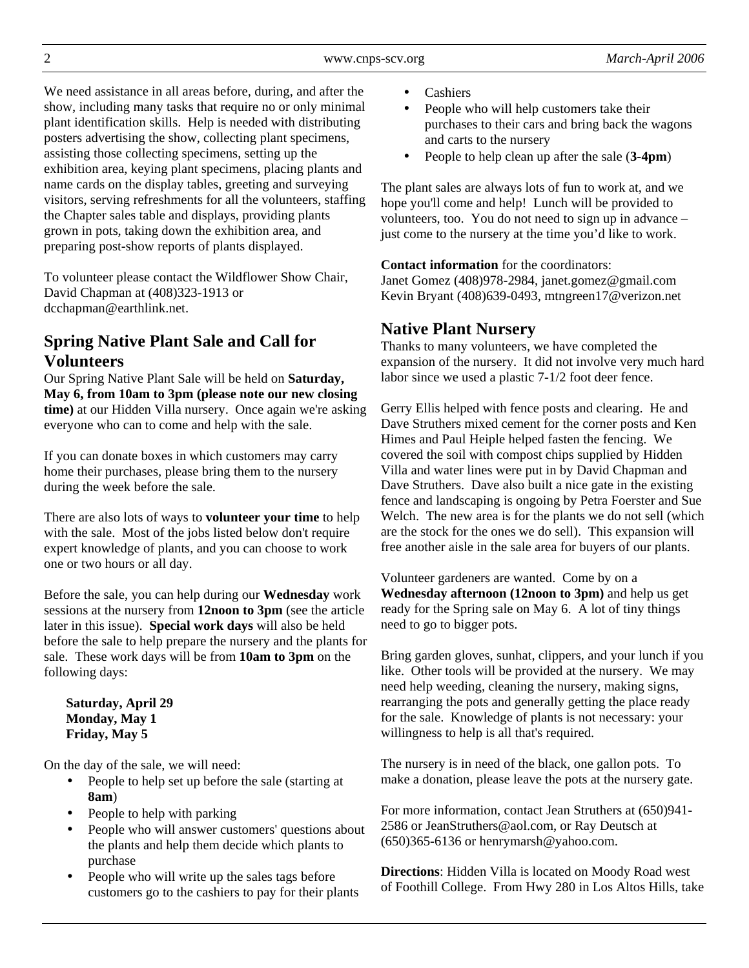We need assistance in all areas before, during, and after the show, including many tasks that require no or only minimal plant identification skills. Help is needed with distributing posters advertising the show, collecting plant specimens, assisting those collecting specimens, setting up the exhibition area, keying plant specimens, placing plants and name cards on the display tables, greeting and surveying visitors, serving refreshments for all the volunteers, staffing the Chapter sales table and displays, providing plants grown in pots, taking down the exhibition area, and preparing post-show reports of plants displayed.

To volunteer please contact the Wildflower Show Chair, David Chapman at (408)323-1913 or dcchapman@earthlink.net.

# **Spring Native Plant Sale and Call for Volunteers**

Our Spring Native Plant Sale will be held on **Saturday, May 6, from 10am to 3pm (please note our new closing time)** at our Hidden Villa nursery. Once again we're asking everyone who can to come and help with the sale.

If you can donate boxes in which customers may carry home their purchases, please bring them to the nursery during the week before the sale.

There are also lots of ways to **volunteer your time** to help with the sale. Most of the jobs listed below don't require expert knowledge of plants, and you can choose to work one or two hours or all day.

Before the sale, you can help during our **Wednesday** work sessions at the nursery from **12noon to 3pm** (see the article later in this issue). **Special work days** will also be held before the sale to help prepare the nursery and the plants for sale. These work days will be from **10am to 3pm** on the following days:

**Saturday, April 29 Monday, May 1 Friday, May 5** 

On the day of the sale, we will need:

- People to help set up before the sale (starting at **8am**)
- People to help with parking
- People who will answer customers' questions about the plants and help them decide which plants to purchase
- People who will write up the sales tags before customers go to the cashiers to pay for their plants
- Cashiers
- People who will help customers take their purchases to their cars and bring back the wagons and carts to the nursery
- People to help clean up after the sale (**3-4pm**)

The plant sales are always lots of fun to work at, and we hope you'll come and help! Lunch will be provided to volunteers, too. You do not need to sign up in advance – just come to the nursery at the time you'd like to work.

**Contact information** for the coordinators:

Janet Gomez (408)978-2984, janet.gomez@gmail.com Kevin Bryant (408)639-0493, mtngreen17@verizon.net

# **Native Plant Nursery**

Thanks to many volunteers, we have completed the expansion of the nursery. It did not involve very much hard labor since we used a plastic 7-1/2 foot deer fence.

Gerry Ellis helped with fence posts and clearing. He and Dave Struthers mixed cement for the corner posts and Ken Himes and Paul Heiple helped fasten the fencing. We covered the soil with compost chips supplied by Hidden Villa and water lines were put in by David Chapman and Dave Struthers. Dave also built a nice gate in the existing fence and landscaping is ongoing by Petra Foerster and Sue Welch. The new area is for the plants we do not sell (which are the stock for the ones we do sell). This expansion will free another aisle in the sale area for buyers of our plants.

Volunteer gardeners are wanted. Come by on a **Wednesday afternoon (12noon to 3pm)** and help us get ready for the Spring sale on May 6. A lot of tiny things need to go to bigger pots.

Bring garden gloves, sunhat, clippers, and your lunch if you like. Other tools will be provided at the nursery. We may need help weeding, cleaning the nursery, making signs, rearranging the pots and generally getting the place ready for the sale. Knowledge of plants is not necessary: your willingness to help is all that's required.

The nursery is in need of the black, one gallon pots. To make a donation, please leave the pots at the nursery gate.

For more information, contact Jean Struthers at (650)941- 2586 or JeanStruthers@aol.com, or Ray Deutsch at (650)365-6136 or henrymarsh@yahoo.com.

**Directions**: Hidden Villa is located on Moody Road west of Foothill College. From Hwy 280 in Los Altos Hills, take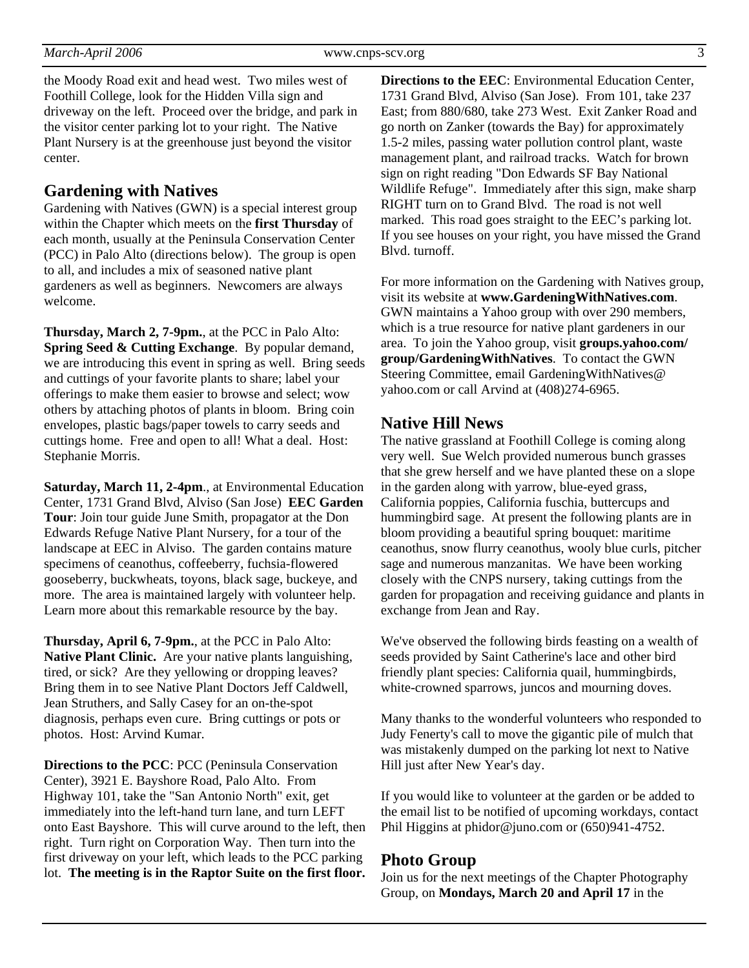the Moody Road exit and head west. Two miles west of Foothill College, look for the Hidden Villa sign and driveway on the left. Proceed over the bridge, and park in the visitor center parking lot to your right. The Native Plant Nursery is at the greenhouse just beyond the visitor center.

## **Gardening with Natives**

Gardening with Natives (GWN) is a special interest group within the Chapter which meets on the **first Thursday** of each month, usually at the Peninsula Conservation Center (PCC) in Palo Alto (directions below). The group is open to all, and includes a mix of seasoned native plant gardeners as well as beginners. Newcomers are always welcome.

**Thursday, March 2, 7-9pm.**, at the PCC in Palo Alto: **Spring Seed & Cutting Exchange**. By popular demand, we are introducing this event in spring as well. Bring seeds and cuttings of your favorite plants to share; label your offerings to make them easier to browse and select; wow others by attaching photos of plants in bloom. Bring coin envelopes, plastic bags/paper towels to carry seeds and cuttings home. Free and open to all! What a deal. Host: Stephanie Morris.

**Saturday, March 11, 2-4pm**., at Environmental Education Center, 1731 Grand Blvd, Alviso (San Jose) **EEC Garden Tour**: Join tour guide June Smith, propagator at the Don Edwards Refuge Native Plant Nursery, for a tour of the landscape at EEC in Alviso. The garden contains mature specimens of ceanothus, coffeeberry, fuchsia-flowered gooseberry, buckwheats, toyons, black sage, buckeye, and more. The area is maintained largely with volunteer help. Learn more about this remarkable resource by the bay.

**Thursday, April 6, 7-9pm.**, at the PCC in Palo Alto: **Native Plant Clinic.** Are your native plants languishing, tired, or sick? Are they yellowing or dropping leaves? Bring them in to see Native Plant Doctors Jeff Caldwell, Jean Struthers, and Sally Casey for an on-the-spot diagnosis, perhaps even cure. Bring cuttings or pots or photos. Host: Arvind Kumar.

**Directions to the PCC**: PCC (Peninsula Conservation Center), 3921 E. Bayshore Road, Palo Alto. From Highway 101, take the "San Antonio North" exit, get immediately into the left-hand turn lane, and turn LEFT onto East Bayshore. This will curve around to the left, then right. Turn right on Corporation Way. Then turn into the first driveway on your left, which leads to the PCC parking lot. **The meeting is in the Raptor Suite on the first floor.** 

**Directions to the EEC**: Environmental Education Center, 1731 Grand Blvd, Alviso (San Jose). From 101, take 237 East; from 880/680, take 273 West. Exit Zanker Road and go north on Zanker (towards the Bay) for approximately 1.5-2 miles, passing water pollution control plant, waste management plant, and railroad tracks. Watch for brown sign on right reading "Don Edwards SF Bay National Wildlife Refuge". Immediately after this sign, make sharp RIGHT turn on to Grand Blvd. The road is not well marked. This road goes straight to the EEC's parking lot. If you see houses on your right, you have missed the Grand Blvd. turnoff.

For more information on the Gardening with Natives group, visit its website at **www.GardeningWithNatives.com**. GWN maintains a Yahoo group with over 290 members, which is a true resource for native plant gardeners in our area. To join the Yahoo group, visit **groups.yahoo.com/ group/GardeningWithNatives**. To contact the GWN Steering Committee, email GardeningWithNatives@ yahoo.com or call Arvind at (408)274-6965.

## **Native Hill News**

The native grassland at Foothill College is coming along very well. Sue Welch provided numerous bunch grasses that she grew herself and we have planted these on a slope in the garden along with yarrow, blue-eyed grass, California poppies, California fuschia, buttercups and hummingbird sage. At present the following plants are in bloom providing a beautiful spring bouquet: maritime ceanothus, snow flurry ceanothus, wooly blue curls, pitcher sage and numerous manzanitas. We have been working closely with the CNPS nursery, taking cuttings from the garden for propagation and receiving guidance and plants in exchange from Jean and Ray.

We've observed the following birds feasting on a wealth of seeds provided by Saint Catherine's lace and other bird friendly plant species: California quail, hummingbirds, white-crowned sparrows, juncos and mourning doves.

Many thanks to the wonderful volunteers who responded to Judy Fenerty's call to move the gigantic pile of mulch that was mistakenly dumped on the parking lot next to Native Hill just after New Year's day.

If you would like to volunteer at the garden or be added to the email list to be notified of upcoming workdays, contact Phil Higgins at phidor@juno.com or (650)941-4752.

## **Photo Group**

Join us for the next meetings of the Chapter Photography Group, on **Mondays, March 20 and April 17** in the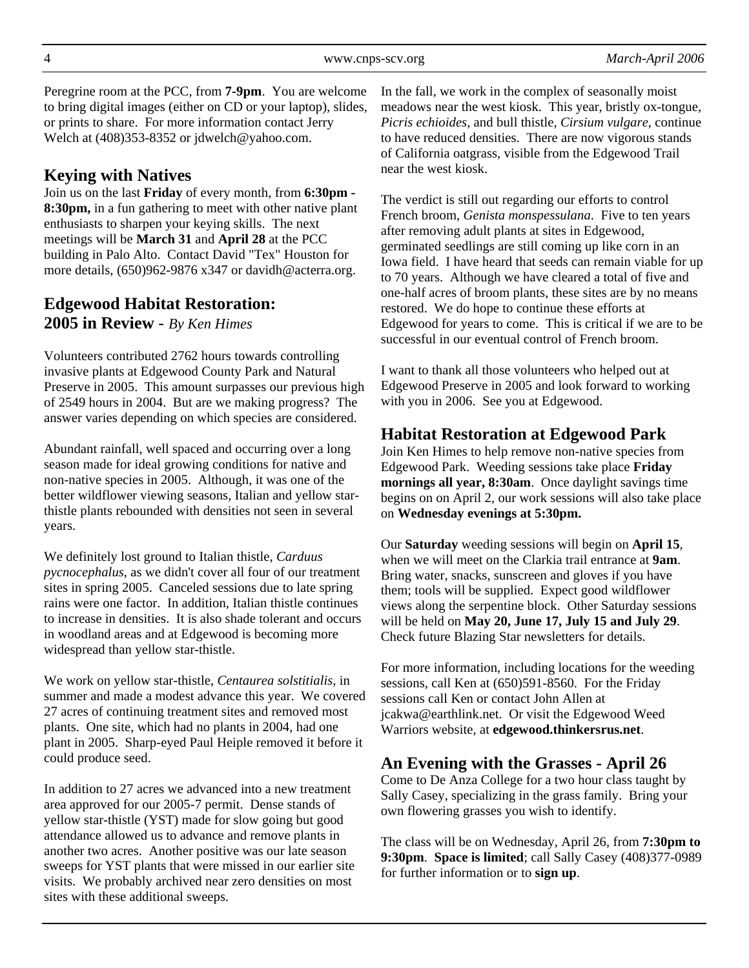Peregrine room at the PCC, from **7-9pm**. You are welcome to bring digital images (either on CD or your laptop), slides, or prints to share. For more information contact Jerry Welch at  $(408)353-8352$  or jdwelch@yahoo.com.

## **Keying with Natives**

Join us on the last **Friday** of every month, from **6:30pm - 8:30pm,** in a fun gathering to meet with other native plant enthusiasts to sharpen your keying skills. The next meetings will be **March 31** and **April 28** at the PCC building in Palo Alto. Contact David "Tex" Houston for more details, (650)962-9876 x347 or davidh@acterra.org.

## **Edgewood Habitat Restoration: 2005 in Review** - *By Ken Himes*

Volunteers contributed 2762 hours towards controlling invasive plants at Edgewood County Park and Natural Preserve in 2005. This amount surpasses our previous high of 2549 hours in 2004. But are we making progress? The answer varies depending on which species are considered.

Abundant rainfall, well spaced and occurring over a long season made for ideal growing conditions for native and non-native species in 2005. Although, it was one of the better wildflower viewing seasons, Italian and yellow starthistle plants rebounded with densities not seen in several years.

We definitely lost ground to Italian thistle, *Carduus pycnocephalus*, as we didn't cover all four of our treatment sites in spring 2005. Canceled sessions due to late spring rains were one factor. In addition, Italian thistle continues to increase in densities. It is also shade tolerant and occurs in woodland areas and at Edgewood is becoming more widespread than yellow star-thistle.

We work on yellow star-thistle, *Centaurea solstitialis*, in summer and made a modest advance this year. We covered 27 acres of continuing treatment sites and removed most plants. One site, which had no plants in 2004, had one plant in 2005. Sharp-eyed Paul Heiple removed it before it could produce seed.

In addition to 27 acres we advanced into a new treatment area approved for our 2005-7 permit. Dense stands of yellow star-thistle (YST) made for slow going but good attendance allowed us to advance and remove plants in another two acres. Another positive was our late season sweeps for YST plants that were missed in our earlier site visits. We probably archived near zero densities on most sites with these additional sweeps.

In the fall, we work in the complex of seasonally moist meadows near the west kiosk. This year, bristly ox-tongue, *Picris echioides,* and bull thistle, *Cirsium vulgare*, continue to have reduced densities. There are now vigorous stands of California oatgrass, visible from the Edgewood Trail near the west kiosk.

The verdict is still out regarding our efforts to control French broom, *Genista monspessulana*. Five to ten years after removing adult plants at sites in Edgewood, germinated seedlings are still coming up like corn in an Iowa field. I have heard that seeds can remain viable for up to 70 years. Although we have cleared a total of five and one-half acres of broom plants, these sites are by no means restored. We do hope to continue these efforts at Edgewood for years to come. This is critical if we are to be successful in our eventual control of French broom.

I want to thank all those volunteers who helped out at Edgewood Preserve in 2005 and look forward to working with you in 2006. See you at Edgewood.

## **Habitat Restoration at Edgewood Park**

Join Ken Himes to help remove non-native species from Edgewood Park. Weeding sessions take place **Friday mornings all year, 8:30am**. Once daylight savings time begins on on April 2, our work sessions will also take place on **Wednesday evenings at 5:30pm.** 

Our **Saturday** weeding sessions will begin on **April 15**, when we will meet on the Clarkia trail entrance at **9am**. Bring water, snacks, sunscreen and gloves if you have them; tools will be supplied. Expect good wildflower views along the serpentine block. Other Saturday sessions will be held on **May 20, June 17, July 15 and July 29**. Check future Blazing Star newsletters for details.

For more information, including locations for the weeding sessions, call Ken at (650)591-8560. For the Friday sessions call Ken or contact John Allen at jcakwa@earthlink.net. Or visit the Edgewood Weed Warriors website, at **edgewood.thinkersrus.net**.

## **An Evening with the Grasses - April 26**

Come to De Anza College for a two hour class taught by Sally Casey, specializing in the grass family. Bring your own flowering grasses you wish to identify.

The class will be on Wednesday, April 26, from **7:30pm to 9:30pm**. **Space is limited**; call Sally Casey (408)377-0989 for further information or to **sign up**.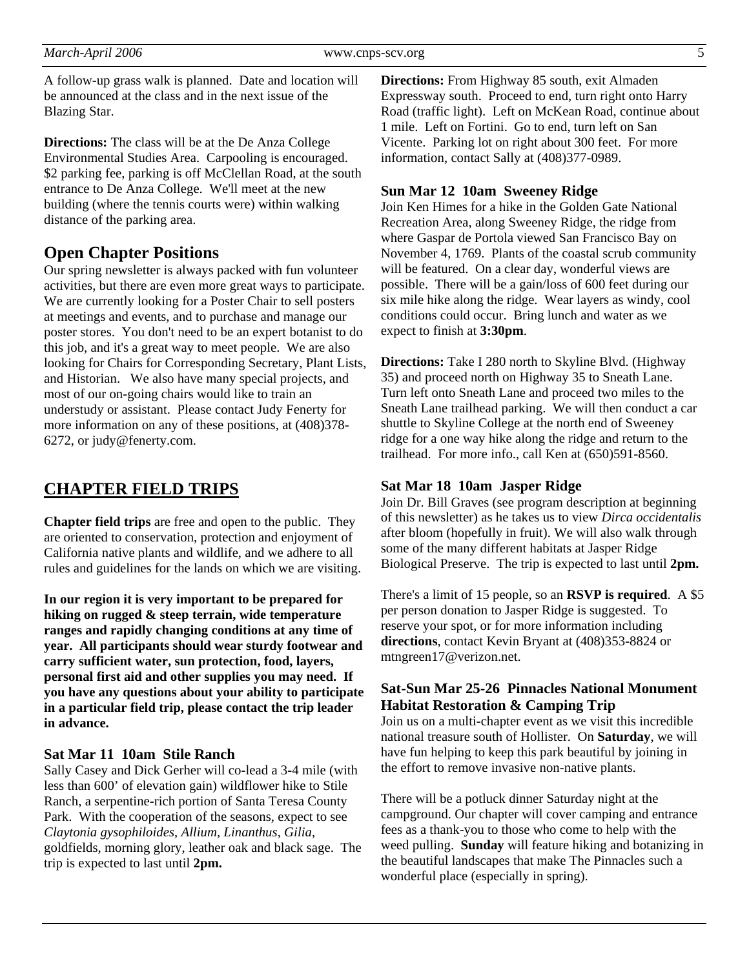A follow-up grass walk is planned. Date and location will be announced at the class and in the next issue of the Blazing Star.

**Directions:** The class will be at the De Anza College Environmental Studies Area. Carpooling is encouraged. \$2 parking fee, parking is off McClellan Road, at the south entrance to De Anza College. We'll meet at the new building (where the tennis courts were) within walking distance of the parking area.

## **Open Chapter Positions**

Our spring newsletter is always packed with fun volunteer activities, but there are even more great ways to participate. We are currently looking for a Poster Chair to sell posters at meetings and events, and to purchase and manage our poster stores. You don't need to be an expert botanist to do this job, and it's a great way to meet people. We are also looking for Chairs for Corresponding Secretary, Plant Lists, and Historian. We also have many special projects, and most of our on-going chairs would like to train an understudy or assistant. Please contact Judy Fenerty for more information on any of these positions, at (408)378- 6272, or judy@fenerty.com.

# **CHAPTER FIELD TRIPS**

**Chapter field trips** are free and open to the public. They are oriented to conservation, protection and enjoyment of California native plants and wildlife, and we adhere to all rules and guidelines for the lands on which we are visiting.

**In our region it is very important to be prepared for hiking on rugged & steep terrain, wide temperature ranges and rapidly changing conditions at any time of year. All participants should wear sturdy footwear and carry sufficient water, sun protection, food, layers, personal first aid and other supplies you may need. If you have any questions about your ability to participate in a particular field trip, please contact the trip leader in advance.** 

#### **Sat Mar 11 10am Stile Ranch**

Sally Casey and Dick Gerher will co-lead a 3-4 mile (with less than 600' of elevation gain) wildflower hike to Stile Ranch, a serpentine-rich portion of Santa Teresa County Park. With the cooperation of the seasons, expect to see *Claytonia gysophiloides*, *Allium*, *Linanthus*, *Gilia*, goldfields, morning glory, leather oak and black sage. The trip is expected to last until **2pm.** 

**Directions:** From Highway 85 south, exit Almaden Expressway south. Proceed to end, turn right onto Harry Road (traffic light). Left on McKean Road, continue about 1 mile. Left on Fortini. Go to end, turn left on San Vicente. Parking lot on right about 300 feet. For more information, contact Sally at (408)377-0989.

#### **Sun Mar 12 10am Sweeney Ridge**

Join Ken Himes for a hike in the Golden Gate National Recreation Area, along Sweeney Ridge, the ridge from where Gaspar de Portola viewed San Francisco Bay on November 4, 1769. Plants of the coastal scrub community will be featured. On a clear day, wonderful views are possible. There will be a gain/loss of 600 feet during our six mile hike along the ridge. Wear layers as windy, cool conditions could occur. Bring lunch and water as we expect to finish at **3:30pm**.

**Directions:** Take I 280 north to Skyline Blvd. (Highway 35) and proceed north on Highway 35 to Sneath Lane. Turn left onto Sneath Lane and proceed two miles to the Sneath Lane trailhead parking. We will then conduct a car shuttle to Skyline College at the north end of Sweeney ridge for a one way hike along the ridge and return to the trailhead. For more info., call Ken at (650)591-8560.

## **Sat Mar 18 10am Jasper Ridge**

Join Dr. Bill Graves (see program description at beginning of this newsletter) as he takes us to view *Dirca occidentalis*  after bloom (hopefully in fruit). We will also walk through some of the many different habitats at Jasper Ridge Biological Preserve. The trip is expected to last until **2pm.**

There's a limit of 15 people, so an **RSVP is required**. A \$5 per person donation to Jasper Ridge is suggested. To reserve your spot, or for more information including **directions**, contact Kevin Bryant at (408)353-8824 or mtngreen17@verizon.net.

## **Sat-Sun Mar 25-26 Pinnacles National Monument Habitat Restoration & Camping Trip**

Join us on a multi-chapter event as we visit this incredible national treasure south of Hollister. On **Saturday**, we will have fun helping to keep this park beautiful by joining in the effort to remove invasive non-native plants.

There will be a potluck dinner Saturday night at the campground. Our chapter will cover camping and entrance fees as a thank-you to those who come to help with the weed pulling. **Sunday** will feature hiking and botanizing in the beautiful landscapes that make The Pinnacles such a wonderful place (especially in spring).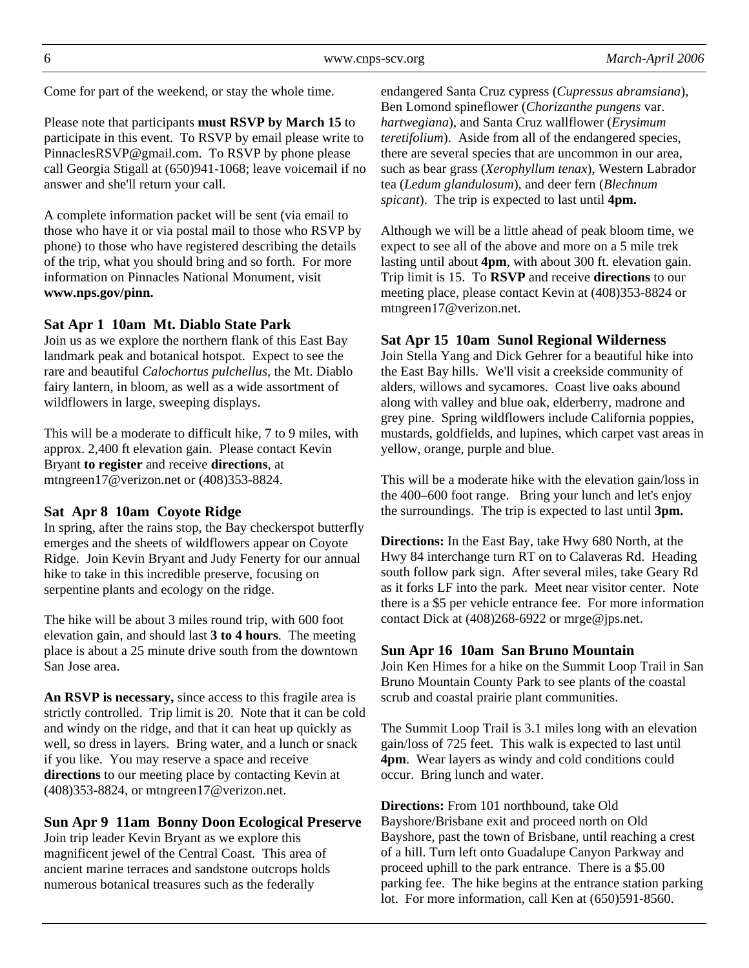Come for part of the weekend, or stay the whole time.

Please note that participants **must RSVP by March 15** to participate in this event. To RSVP by email please write to PinnaclesRSVP@gmail.com. To RSVP by phone please call Georgia Stigall at (650)941-1068; leave voicemail if no answer and she'll return your call.

A complete information packet will be sent (via email to those who have it or via postal mail to those who RSVP by phone) to those who have registered describing the details of the trip, what you should bring and so forth. For more information on Pinnacles National Monument, visit **www.nps.gov/pinn.** 

#### **Sat Apr 1 10am Mt. Diablo State Park**

Join us as we explore the northern flank of this East Bay landmark peak and botanical hotspot. Expect to see the rare and beautiful *Calochortus pulchellus*, the Mt. Diablo fairy lantern, in bloom, as well as a wide assortment of wildflowers in large, sweeping displays.

This will be a moderate to difficult hike, 7 to 9 miles, with approx. 2,400 ft elevation gain. Please contact Kevin Bryant **to register** and receive **directions**, at mtngreen17@verizon.net or (408)353-8824.

#### **Sat Apr 8 10am Coyote Ridge**

In spring, after the rains stop, the Bay checkerspot butterfly emerges and the sheets of wildflowers appear on Coyote Ridge. Join Kevin Bryant and Judy Fenerty for our annual hike to take in this incredible preserve, focusing on serpentine plants and ecology on the ridge.

The hike will be about 3 miles round trip, with 600 foot elevation gain, and should last **3 to 4 hours**. The meeting place is about a 25 minute drive south from the downtown San Jose area.

**An RSVP is necessary,** since access to this fragile area is strictly controlled. Trip limit is 20. Note that it can be cold and windy on the ridge, and that it can heat up quickly as well, so dress in layers. Bring water, and a lunch or snack if you like. You may reserve a space and receive **directions** to our meeting place by contacting Kevin at (408)353-8824, or mtngreen17@verizon.net.

#### **Sun Apr 9 11am Bonny Doon Ecological Preserve**

Join trip leader Kevin Bryant as we explore this magnificent jewel of the Central Coast. This area of ancient marine terraces and sandstone outcrops holds numerous botanical treasures such as the federally

endangered Santa Cruz cypress (*Cupressus abramsiana*), Ben Lomond spineflower (*Chorizanthe pungens* var. *hartwegiana*), and Santa Cruz wallflower (*Erysimum teretifolium*). Aside from all of the endangered species, there are several species that are uncommon in our area, such as bear grass (*Xerophyllum tenax*), Western Labrador tea (*Ledum glandulosum*), and deer fern (*Blechnum spicant*). The trip is expected to last until **4pm.** 

Although we will be a little ahead of peak bloom time, we expect to see all of the above and more on a 5 mile trek lasting until about **4pm**, with about 300 ft. elevation gain. Trip limit is 15. To **RSVP** and receive **directions** to our meeting place, please contact Kevin at (408)353-8824 or mtngreen17@verizon.net.

#### **Sat Apr 15 10am Sunol Regional Wilderness**

Join Stella Yang and Dick Gehrer for a beautiful hike into the East Bay hills. We'll visit a creekside community of alders, willows and sycamores. Coast live oaks abound along with valley and blue oak, elderberry, madrone and grey pine. Spring wildflowers include California poppies, mustards, goldfields, and lupines, which carpet vast areas in yellow, orange, purple and blue.

This will be a moderate hike with the elevation gain/loss in the 400–600 foot range. Bring your lunch and let's enjoy the surroundings. The trip is expected to last until **3pm.** 

**Directions:** In the East Bay, take Hwy 680 North, at the Hwy 84 interchange turn RT on to Calaveras Rd. Heading south follow park sign. After several miles, take Geary Rd as it forks LF into the park. Meet near visitor center. Note there is a \$5 per vehicle entrance fee. For more information contact Dick at (408)268-6922 or mrge@jps.net.

#### **Sun Apr 16 10am San Bruno Mountain**

Join Ken Himes for a hike on the Summit Loop Trail in San Bruno Mountain County Park to see plants of the coastal scrub and coastal prairie plant communities.

The Summit Loop Trail is 3.1 miles long with an elevation gain/loss of 725 feet. This walk is expected to last until **4pm**. Wear layers as windy and cold conditions could occur. Bring lunch and water.

**Directions:** From 101 northbound, take Old Bayshore/Brisbane exit and proceed north on Old Bayshore, past the town of Brisbane, until reaching a crest of a hill. Turn left onto Guadalupe Canyon Parkway and proceed uphill to the park entrance. There is a \$5.00 parking fee. The hike begins at the entrance station parking lot. For more information, call Ken at (650)591-8560.